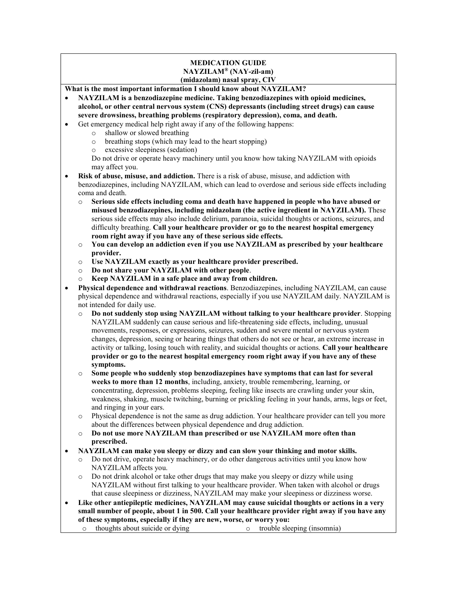## MEDICATION GUIDE NAYZILAM® (NAY-zil-am) (midazolam) nasal spray, CIV

What is the most important information I should know about NAYZILAM?

- NAYZILAM is a benzodiazepine medicine. Taking benzodiazepines with opioid medicines, alcohol, or other central nervous system (CNS) depressants (including street drugs) can cause severe drowsiness, breathing problems (respiratory depression), coma, and death.
- Get emergency medical help right away if any of the following happens:
	- o shallow or slowed breathing
	- o breathing stops (which may lead to the heart stopping)
	- o excessive sleepiness (sedation)

Do not drive or operate heavy machinery until you know how taking NAYZILAM with opioids may affect you.

- Risk of abuse, misuse, and addiction. There is a risk of abuse, misuse, and addiction with benzodiazepines, including NAYZILAM, which can lead to overdose and serious side effects including coma and death.
	- Serious side effects including coma and death have happened in people who have abused or misused benzodiazepines, including midazolam (the active ingredient in NAYZILAM). These serious side effects may also include delirium, paranoia, suicidal thoughts or actions, seizures, and difficulty breathing. Call your healthcare provider or go to the nearest hospital emergency room right away if you have any of these serious side effects.
	- o You can develop an addiction even if you use NAYZILAM as prescribed by your healthcare provider.
	- o Use NAYZILAM exactly as your healthcare provider prescribed.
	- o Do not share your NAYZILAM with other people.
	- o Keep NAYZILAM in a safe place and away from children.
- Physical dependence and withdrawal reactions. Benzodiazepines, including NAYZILAM, can cause physical dependence and withdrawal reactions, especially if you use NAYZILAM daily. NAYZILAM is not intended for daily use.
	- Do not suddenly stop using NAYZILAM without talking to your healthcare provider. Stopping NAYZILAM suddenly can cause serious and life-threatening side effects, including, unusual movements, responses, or expressions, seizures, sudden and severe mental or nervous system changes, depression, seeing or hearing things that others do not see or hear, an extreme increase in activity or talking, losing touch with reality, and suicidal thoughts or actions. Call your healthcare provider or go to the nearest hospital emergency room right away if you have any of these symptoms.
	- Some people who suddenly stop benzodiazepines have symptoms that can last for several weeks to more than 12 months, including, anxiety, trouble remembering, learning, or concentrating, depression, problems sleeping, feeling like insects are crawling under your skin, weakness, shaking, muscle twitching, burning or prickling feeling in your hands, arms, legs or feet, and ringing in your ears.
	- o Physical dependence is not the same as drug addiction. Your healthcare provider can tell you more about the differences between physical dependence and drug addiction.
	- Do not use more NAYZILAM than prescribed or use NAYZILAM more often than prescribed.
- NAYZILAM can make you sleepy or dizzy and can slow your thinking and motor skills.
	- Do not drive, operate heavy machinery, or do other dangerous activities until you know how NAYZILAM affects you.
	- Do not drink alcohol or take other drugs that may make you sleepy or dizzy while using NAYZILAM without first talking to your healthcare provider. When taken with alcohol or drugs that cause sleepiness or dizziness, NAYZILAM may make your sleepiness or dizziness worse.
- Like other antiepileptic medicines, NAYZILAM may cause suicidal thoughts or actions in a very small number of people, about 1 in 500. Call your healthcare provider right away if you have any of these symptoms, especially if they are new, worse, or worry you:
	- o thoughts about suicide or dying o trouble sleeping (insomnia)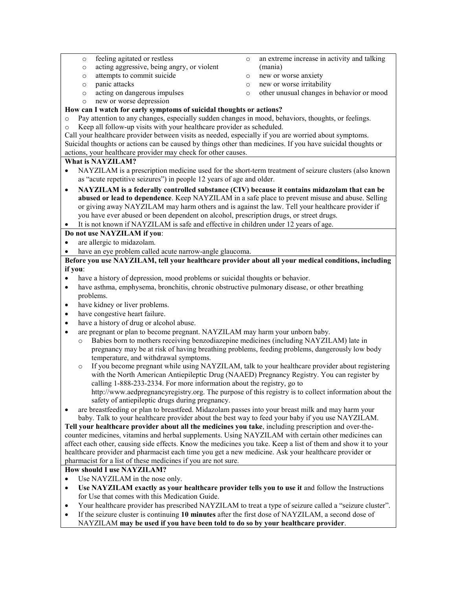- o feeling agitated or restless
- o acting aggressive, being angry, or violent
- o attempts to commit suicide
- o panic attacks
- o acting on dangerous impulses
- o new or worse depression
- o an extreme increase in activity and talking (mania)
- o new or worse anxiety
- o new or worse irritability
- o other unusual changes in behavior or mood

## How can I watch for early symptoms of suicidal thoughts or actions?

- o Pay attention to any changes, especially sudden changes in mood, behaviors, thoughts, or feelings.
- Keep all follow-up visits with your healthcare provider as scheduled.

Call your healthcare provider between visits as needed, especially if you are worried about symptoms. Suicidal thoughts or actions can be caused by things other than medicines. If you have suicidal thoughts or actions, your healthcare provider may check for other causes.

## What is NAYZILAM?

- NAYZILAM is a prescription medicine used for the short-term treatment of seizure clusters (also known as "acute repetitive seizures") in people 12 years of age and older.
- NAYZILAM is a federally controlled substance (CIV) because it contains midazolam that can be abused or lead to dependence. Keep NAYZILAM in a safe place to prevent misuse and abuse. Selling or giving away NAYZILAM may harm others and is against the law. Tell your healthcare provider if you have ever abused or been dependent on alcohol, prescription drugs, or street drugs.

It is not known if NAYZILAM is safe and effective in children under 12 years of age.

# Do not use NAYZILAM if you:

- are allergic to midazolam.
- have an eye problem called acute narrow-angle glaucoma.

## Before you use NAYZILAM, tell your healthcare provider about all your medical conditions, including if you:

- have a history of depression, mood problems or suicidal thoughts or behavior.
- have asthma, emphysema, bronchitis, chronic obstructive pulmonary disease, or other breathing problems.
- have kidney or liver problems.
- have congestive heart failure.
- have a history of drug or alcohol abuse.
- are pregnant or plan to become pregnant. NAYZILAM may harm your unborn baby.
	- Babies born to mothers receiving benzodiazepine medicines (including NAYZILAM) late in pregnancy may be at risk of having breathing problems, feeding problems, dangerously low body temperature, and withdrawal symptoms.
	- If you become pregnant while using NAYZILAM, talk to your healthcare provider about registering with the North American Antiepileptic Drug (NAAED) Pregnancy Registry. You can register by calling 1-888-233-2334. For more information about the registry, go to http://www.aedpregnancyregistry.org. The purpose of this registry is to collect information about the safety of antiepileptic drugs during pregnancy.
- are breastfeeding or plan to breastfeed. Midazolam passes into your breast milk and may harm your baby. Talk to your healthcare provider about the best way to feed your baby if you use NAYZILAM.

Tell your healthcare provider about all the medicines you take, including prescription and over-thecounter medicines, vitamins and herbal supplements. Using NAYZILAM with certain other medicines can affect each other, causing side effects. Know the medicines you take. Keep a list of them and show it to your healthcare provider and pharmacist each time you get a new medicine. Ask your healthcare provider or pharmacist for a list of these medicines if you are not sure.

### How should I use NAYZILAM?

- Use NAYZILAM in the nose only.
- Use NAYZILAM exactly as your healthcare provider tells you to use it and follow the Instructions for Use that comes with this Medication Guide.
- Your healthcare provider has prescribed NAYZILAM to treat a type of seizure called a "seizure cluster".
- If the seizure cluster is continuing 10 minutes after the first dose of NAYZILAM, a second dose of
- NAYZILAM may be used if you have been told to do so by your healthcare provider.